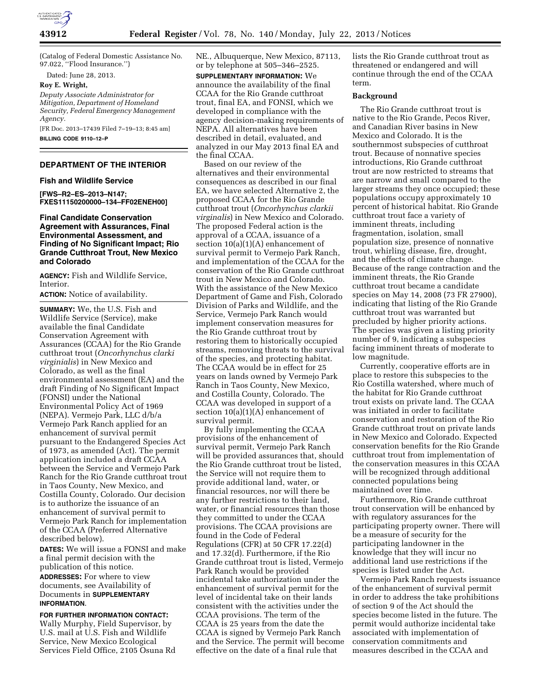

(Catalog of Federal Domestic Assistance No. 97.022, ''Flood Insurance.'')

Dated: June 28, 2013.

**Roy E. Wright,** 

*Deputy Associate Administrator for Mitigation, Department of Homeland Security, Federal Emergency Management Agency.* 

[FR Doc. 2013–17439 Filed 7–19–13; 8:45 am] **BILLING CODE 9110–12–P** 

# **DEPARTMENT OF THE INTERIOR**

**Fish and Wildlife Service** 

**[FWS–R2–ES–2013–N147; FXES11150200000–134–FF02ENEH00]** 

# **Final Candidate Conservation Agreement with Assurances, Final Environmental Assessment, and Finding of No Significant Impact; Rio Grande Cutthroat Trout, New Mexico and Colorado**

**AGENCY:** Fish and Wildlife Service, Interior.

**ACTION:** Notice of availability.

**SUMMARY:** We, the U.S. Fish and Wildlife Service (Service), make available the final Candidate Conservation Agreement with Assurances (CCAA) for the Rio Grande cutthroat trout (*Oncorhynchus clarki virginialis*) in New Mexico and Colorado, as well as the final environmental assessment (EA) and the draft Finding of No Significant Impact (FONSI) under the National Environmental Policy Act of 1969 (NEPA). Vermejo Park, LLC d/b/a Vermejo Park Ranch applied for an enhancement of survival permit pursuant to the Endangered Species Act of 1973, as amended (Act). The permit application included a draft CCAA between the Service and Vermejo Park Ranch for the Rio Grande cutthroat trout in Taos County, New Mexico, and Costilla County, Colorado. Our decision is to authorize the issuance of an enhancement of survival permit to Vermejo Park Ranch for implementation of the CCAA (Preferred Alternative described below).

**DATES:** We will issue a FONSI and make a final permit decision with the publication of this notice.

**ADDRESSES:** For where to view documents, see Availability of Documents in **SUPPLEMENTARY INFORMATION**.

**FOR FURTHER INFORMATION CONTACT:**  Wally Murphy, Field Supervisor, by U.S. mail at U.S. Fish and Wildlife Service, New Mexico Ecological Services Field Office, 2105 Osuna Rd NE., Albuquerque, New Mexico, 87113, or by telephone at 505–346–2525.

**SUPPLEMENTARY INFORMATION:** We announce the availability of the final CCAA for the Rio Grande cutthroat trout, final EA, and FONSI, which we developed in compliance with the agency decision-making requirements of NEPA. All alternatives have been described in detail, evaluated, and analyzed in our May 2013 final EA and the final CCAA.

Based on our review of the alternatives and their environmental consequences as described in our final EA, we have selected Alternative 2, the proposed CCAA for the Rio Grande cutthroat trout (*Oncorhynchus clarkii virginalis*) in New Mexico and Colorado. The proposed Federal action is the approval of a CCAA, issuance of a section 10(a)(1)(A) enhancement of survival permit to Vermejo Park Ranch, and implementation of the CCAA for the conservation of the Rio Grande cutthroat trout in New Mexico and Colorado. With the assistance of the New Mexico Department of Game and Fish, Colorado Division of Parks and Wildlife, and the Service, Vermejo Park Ranch would implement conservation measures for the Rio Grande cutthroat trout by restoring them to historically occupied streams, removing threats to the survival of the species, and protecting habitat. The CCAA would be in effect for 25 years on lands owned by Vermejo Park Ranch in Taos County, New Mexico, and Costilla County, Colorado. The CCAA was developed in support of a section 10(a)(1)(A) enhancement of survival permit.

By fully implementing the CCAA provisions of the enhancement of survival permit, Vermejo Park Ranch will be provided assurances that, should the Rio Grande cutthroat trout be listed, the Service will not require them to provide additional land, water, or financial resources, nor will there be any further restrictions to their land, water, or financial resources than those they committed to under the CCAA provisions. The CCAA provisions are found in the Code of Federal Regulations (CFR) at 50 CFR 17.22(d) and 17.32(d). Furthermore, if the Rio Grande cutthroat trout is listed, Vermejo Park Ranch would be provided incidental take authorization under the enhancement of survival permit for the level of incidental take on their lands consistent with the activities under the CCAA provisions. The term of the CCAA is 25 years from the date the CCAA is signed by Vermejo Park Ranch and the Service. The permit will become effective on the date of a final rule that

lists the Rio Grande cutthroat trout as threatened or endangered and will continue through the end of the CCAA term.

# **Background**

The Rio Grande cutthroat trout is native to the Rio Grande, Pecos River, and Canadian River basins in New Mexico and Colorado. It is the southernmost subspecies of cutthroat trout. Because of nonnative species introductions, Rio Grande cutthroat trout are now restricted to streams that are narrow and small compared to the larger streams they once occupied; these populations occupy approximately 10 percent of historical habitat. Rio Grande cutthroat trout face a variety of imminent threats, including fragmentation, isolation, small population size, presence of nonnative trout, whirling disease, fire, drought, and the effects of climate change. Because of the range contraction and the imminent threats, the Rio Grande cutthroat trout became a candidate species on May 14, 2008 (73 FR 27900), indicating that listing of the Rio Grande cutthroat trout was warranted but precluded by higher priority actions. The species was given a listing priority number of 9, indicating a subspecies facing imminent threats of moderate to low magnitude.

Currently, cooperative efforts are in place to restore this subspecies to the Rio Costilla watershed, where much of the habitat for Rio Grande cutthroat trout exists on private land. The CCAA was initiated in order to facilitate conservation and restoration of the Rio Grande cutthroat trout on private lands in New Mexico and Colorado. Expected conservation benefits for the Rio Grande cutthroat trout from implementation of the conservation measures in this CCAA will be recognized through additional connected populations being maintained over time.

Furthermore, Rio Grande cutthroat trout conservation will be enhanced by with regulatory assurances for the participating property owner. There will be a measure of security for the participating landowner in the knowledge that they will incur no additional land use restrictions if the species is listed under the Act.

Vermejo Park Ranch requests issuance of the enhancement of survival permit in order to address the take prohibitions of section 9 of the Act should the species become listed in the future. The permit would authorize incidental take associated with implementation of conservation commitments and measures described in the CCAA and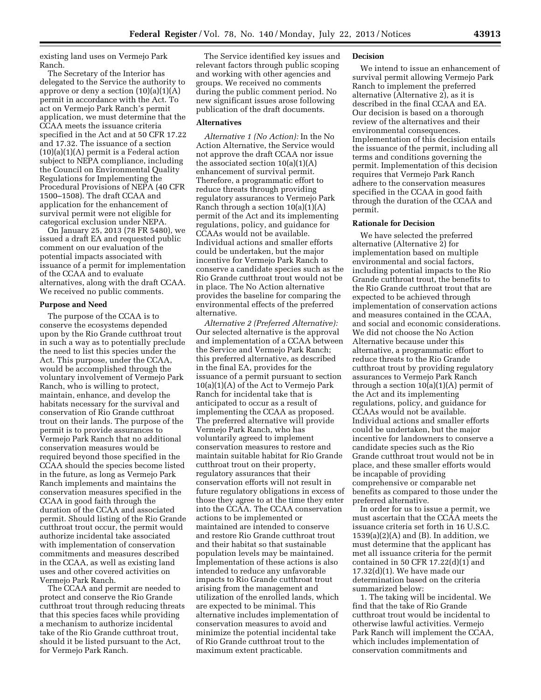existing land uses on Vermejo Park Ranch.

The Secretary of the Interior has delegated to the Service the authority to approve or deny a section  $(10)(a)(1)(A)$ permit in accordance with the Act. To act on Vermejo Park Ranch's permit application, we must determine that the CCAA meets the issuance criteria specified in the Act and at 50 CFR 17.22 and 17.32. The issuance of a section (10)(a)(1)(A) permit is a Federal action subject to NEPA compliance, including the Council on Environmental Quality Regulations for Implementing the Procedural Provisions of NEPA (40 CFR 1500–1508). The draft CCAA and application for the enhancement of survival permit were not eligible for categorical exclusion under NEPA.

On January 25, 2013 (78 FR 5480), we issued a draft EA and requested public comment on our evaluation of the potential impacts associated with issuance of a permit for implementation of the CCAA and to evaluate alternatives, along with the draft CCAA. We received no public comments.

# **Purpose and Need**

The purpose of the CCAA is to conserve the ecosystems depended upon by the Rio Grande cutthroat trout in such a way as to potentially preclude the need to list this species under the Act. This purpose, under the CCAA, would be accomplished through the voluntary involvement of Vermejo Park Ranch, who is willing to protect, maintain, enhance, and develop the habitats necessary for the survival and conservation of Rio Grande cutthroat trout on their lands. The purpose of the permit is to provide assurances to Vermejo Park Ranch that no additional conservation measures would be required beyond those specified in the CCAA should the species become listed in the future, as long as Vermejo Park Ranch implements and maintains the conservation measures specified in the CCAA in good faith through the duration of the CCAA and associated permit. Should listing of the Rio Grande cutthroat trout occur, the permit would authorize incidental take associated with implementation of conservation commitments and measures described in the CCAA, as well as existing land uses and other covered activities on Vermejo Park Ranch.

The CCAA and permit are needed to protect and conserve the Rio Grande cutthroat trout through reducing threats that this species faces while providing a mechanism to authorize incidental take of the Rio Grande cutthroat trout, should it be listed pursuant to the Act, for Vermejo Park Ranch.

The Service identified key issues and relevant factors through public scoping and working with other agencies and groups. We received no comments during the public comment period. No new significant issues arose following publication of the draft documents.

#### **Alternatives**

*Alternative 1 (No Action):* In the No Action Alternative, the Service would not approve the draft CCAA nor issue the associated section  $10(a)(1)(A)$ enhancement of survival permit. Therefore, a programmatic effort to reduce threats through providing regulatory assurances to Vermejo Park Ranch through a section  $10(a)(1)(A)$ permit of the Act and its implementing regulations, policy, and guidance for CCAAs would not be available. Individual actions and smaller efforts could be undertaken, but the major incentive for Vermejo Park Ranch to conserve a candidate species such as the Rio Grande cutthroat trout would not be in place. The No Action alternative provides the baseline for comparing the environmental effects of the preferred alternative.

*Alternative 2 (Preferred Alternative):*  Our selected alternative is the approval and implementation of a CCAA between the Service and Vermejo Park Ranch; this preferred alternative, as described in the final EA, provides for the issuance of a permit pursuant to section 10(a)(1)(A) of the Act to Vermejo Park Ranch for incidental take that is anticipated to occur as a result of implementing the CCAA as proposed. The preferred alternative will provide Vermejo Park Ranch, who has voluntarily agreed to implement conservation measures to restore and maintain suitable habitat for Rio Grande cutthroat trout on their property, regulatory assurances that their conservation efforts will not result in future regulatory obligations in excess of those they agree to at the time they enter into the CCAA. The CCAA conservation actions to be implemented or maintained are intended to conserve and restore Rio Grande cutthroat trout and their habitat so that sustainable population levels may be maintained. Implementation of these actions is also intended to reduce any unfavorable impacts to Rio Grande cutthroat trout arising from the management and utilization of the enrolled lands, which are expected to be minimal. This alternative includes implementation of conservation measures to avoid and minimize the potential incidental take of Rio Grande cutthroat trout to the maximum extent practicable.

#### **Decision**

We intend to issue an enhancement of survival permit allowing Vermejo Park Ranch to implement the preferred alternative (Alternative 2), as it is described in the final CCAA and EA. Our decision is based on a thorough review of the alternatives and their environmental consequences. Implementation of this decision entails the issuance of the permit, including all terms and conditions governing the permit. Implementation of this decision requires that Vermejo Park Ranch adhere to the conservation measures specified in the CCAA in good faith through the duration of the CCAA and permit.

#### **Rationale for Decision**

We have selected the preferred alternative (Alternative 2) for implementation based on multiple environmental and social factors, including potential impacts to the Rio Grande cutthroat trout, the benefits to the Rio Grande cutthroat trout that are expected to be achieved through implementation of conservation actions and measures contained in the CCAA, and social and economic considerations. We did not choose the No Action Alternative because under this alternative, a programmatic effort to reduce threats to the Rio Grande cutthroat trout by providing regulatory assurances to Vermejo Park Ranch through a section  $10(a)(1)(A)$  permit of the Act and its implementing regulations, policy, and guidance for CCAAs would not be available. Individual actions and smaller efforts could be undertaken, but the major incentive for landowners to conserve a candidate species such as the Rio Grande cutthroat trout would not be in place, and these smaller efforts would be incapable of providing comprehensive or comparable net benefits as compared to those under the preferred alternative.

In order for us to issue a permit, we must ascertain that the CCAA meets the issuance criteria set forth in 16 U.S.C.  $1539(a)(2)(A)$  and  $(B)$ . In addition, we must determine that the applicant has met all issuance criteria for the permit contained in 50 CFR  $17.22(d)(1)$  and 17.32(d)(1). We have made our determination based on the criteria summarized below:

1. The taking will be incidental. We find that the take of Rio Grande cutthroat trout would be incidental to otherwise lawful activities. Vermejo Park Ranch will implement the CCAA, which includes implementation of conservation commitments and